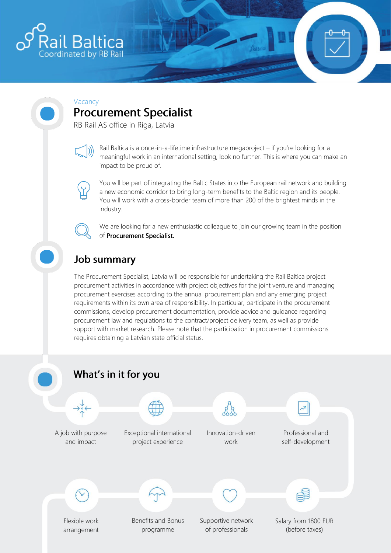

#### Vacancy

# **Procurement Specialist**

RB Rail AS office in Riga, Latvia



Rail Baltica is a once-in-a-lifetime infrastructure megaproject – if you're looking for a meaningful work in an international setting, look no further. This is where you can make an impact to be proud of.



You will be part of integrating the Baltic States into the European rail network and building a new economic corridor to bring long-term benefits to the Baltic region and its people. You will work with a cross-border team of more than 200 of the brightest minds in the industry.

We are looking for a new enthusiastic colleague to join our growing team in the position of Procurement Specialist.

## **Job summary**

The Procurement Specialist, Latvia will be responsible for undertaking the Rail Baltica project procurement activities in accordance with project objectives for the joint venture and managing procurement exercises according to the annual procurement plan and any emerging project requirements within its own area of responsibility. In particular, participate in the procurement commissions, develop procurement documentation, provide advice and guidance regarding procurement law and regulations to the contract/project delivery team, as well as provide support with market research. Please note that the participation in procurement commissions requires obtaining a Latvian state official status.